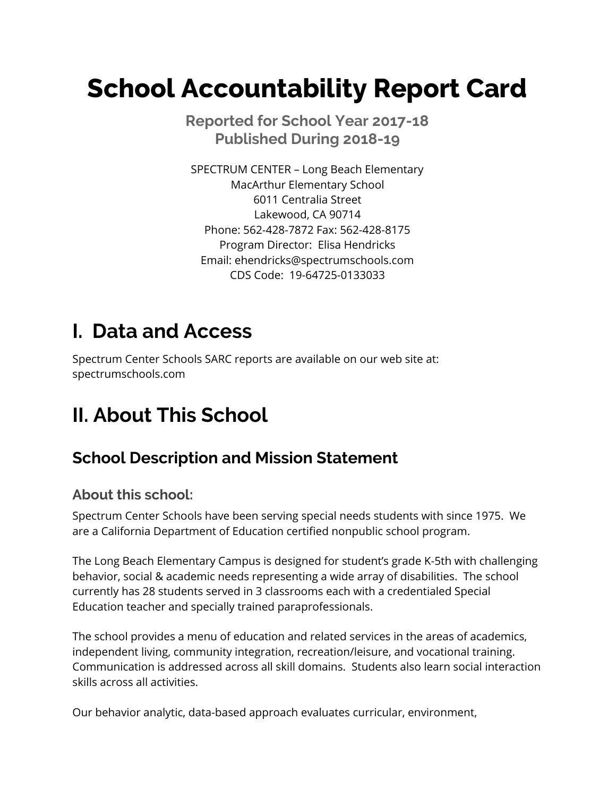# **School Accountability Report Card**

 **Reported for School Year 2017-18 Published During 2018-19**

 SPECTRUM CENTER – Long Beach Elementary 6011 Centralia Street Lakewood, CA 90714 Phone: 562-428-7872 Fax: 562-428-8175 Program Director: Elisa Hendricks CDS Code: 19-64725-0133033 MacArthur Elementary School Email: [ehendricks@spectrumschools.com](mailto:ehendricks@spectrumschools.com)

# **I. Data and Access**

 Spectrum Center Schools SARC reports are available on our web site at: [spectrumschools.com](https://spectrumschools.com)

# **II. About This School**

### **School Description and Mission Statement**

#### **About this school:**

 Spectrum Center Schools have been serving special needs students with since 1975. We are a California Department of Education certified nonpublic school program.

 The Long Beach Elementary Campus is designed for student's grade K-5th with challenging behavior, social & academic needs representing a wide array of disabilities. The school currently has 28 students served in 3 classrooms each with a credentialed Special Education teacher and specially trained paraprofessionals.

 The school provides a menu of education and related services in the areas of academics, independent living, community integration, recreation/leisure, and vocational training. Communication is addressed across all skill domains. Students also learn social interaction skills across all activities.

Our behavior analytic, data-based approach evaluates curricular, environment,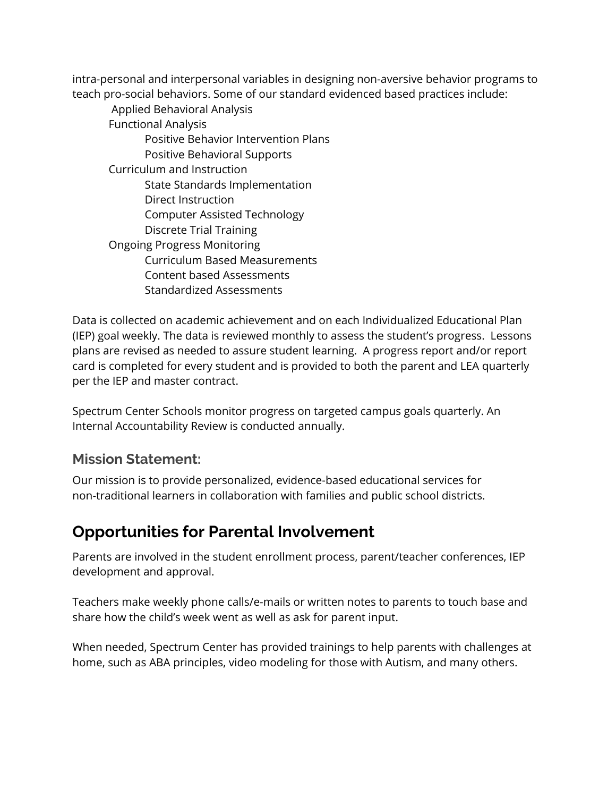intra-personal and interpersonal variables in designing non-aversive behavior programs to teach pro-social behaviors. Some of our standard evidenced based practices include:

 Applied Behavioral Analysis Positive Behavior Intervention Plans Positive Behavioral Supports Curriculum and Instruction State Standards Implementation Computer Assisted Technology Discrete Trial Training Ongoing Progress Monitoring Curriculum Based Measurements Content based Assessments Functional Analysis Direct Instruction Standardized Assessments

 Data is collected on academic achievement and on each Individualized Educational Plan (IEP) goal weekly. The data is reviewed monthly to assess the student's progress. Lessons plans are revised as needed to assure student learning. A progress report and/or report card is completed for every student and is provided to both the parent and LEA quarterly per the IEP and master contract.

 Spectrum Center Schools monitor progress on targeted campus goals quarterly. An Internal Accountability Review is conducted annually.

#### **Mission Statement:**

 Our mission is to provide personalized, evidence-based educational services for non-traditional learners in collaboration with families and public school districts.

### **Opportunities for Parental Involvement**

 Parents are involved in the student enrollment process, parent/teacher conferences, IEP development and approval.

 Teachers make weekly phone calls/e-mails or written notes to parents to touch base and share how the child's week went as well as ask for parent input.

 When needed, Spectrum Center has provided trainings to help parents with challenges at home, such as ABA principles, video modeling for those with Autism, and many others.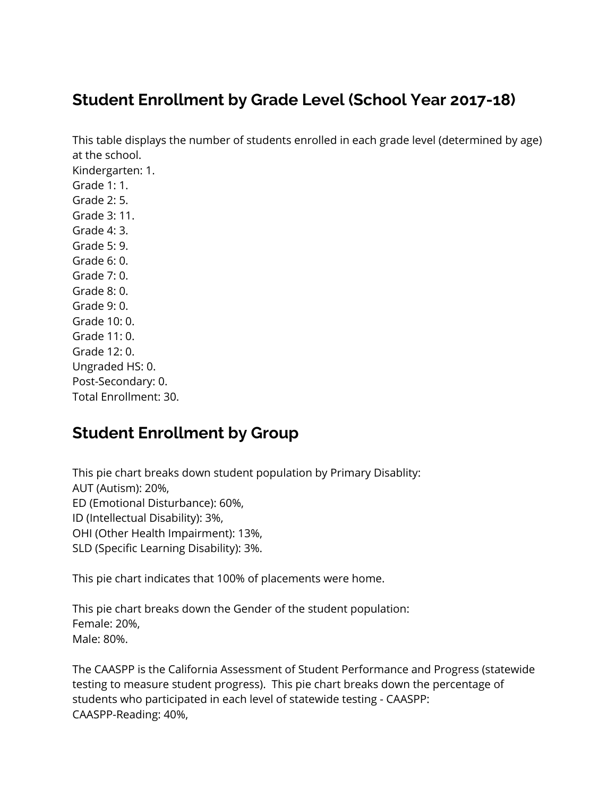### **Student Enrollment by Grade Level (School Year 2017-18)**

 This table displays the number of students enrolled in each grade level (determined by age) at the school. Grade 1: 1. Grade 2: 5. Grade 3: 11. Grade 4: 3. Grade 5: 9. Grade 6: 0. Grade 7: 0. Grade 8: 0. Grade 9: 0. Grade 10: 0. Grade 11: 0. Grade 12: 0. Ungraded HS: 0. Kindergarten: 1. Post-Secondary: 0.

#### **Student Enrollment by Group**

Total Enrollment: 30.

 This pie chart breaks down student population by Primary Disablity: AUT (Autism): 20%, ID (Intellectual Disability): 3%, OHI (Other Health Impairment): 13%, SLD (Specific Learning Disability): 3%. ED (Emotional Disturbance): 60%,

This pie chart indicates that 100% of placements were home.

 This pie chart breaks down the Gender of the student population: Female: 20%, Male: 80%.

 The CAASPP is the California Assessment of Student Performance and Progress (statewide testing to measure student progress). This pie chart breaks down the percentage of students who participated in each level of statewide testing - CAASPP: CAASPP-Reading: 40%,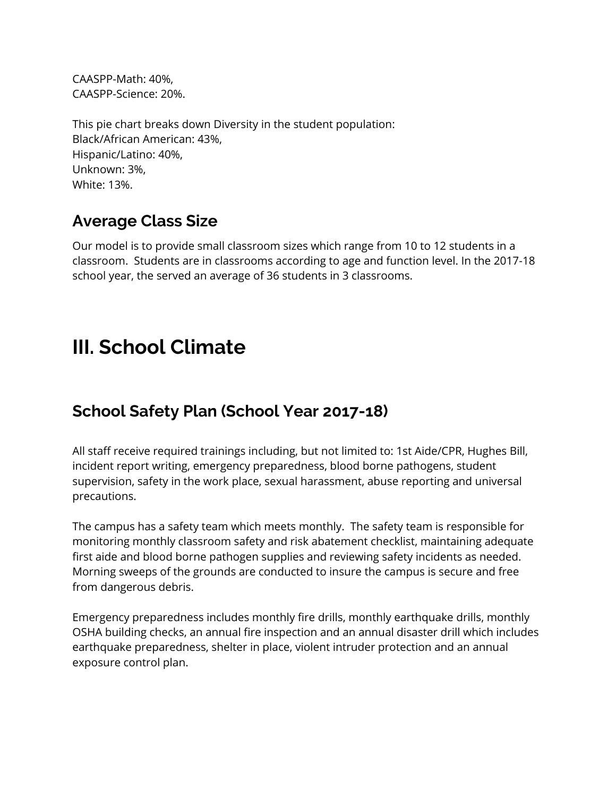CAASPP-Math: 40%, CAASPP-Science: 20%.

 This pie chart breaks down Diversity in the student population: Black/African American: 43%, Hispanic/Latino: 40%, Unknown: 3%, White: 13%.

#### **Average Class Size**

 Our model is to provide small classroom sizes which range from 10 to 12 students in a classroom. Students are in classrooms according to age and function level. In the 2017-18 school year, the served an average of 36 students in 3 classrooms.

### **III. School Climate**

### **School Safety Plan (School Year 2017-18)**

 All staff receive required trainings including, but not limited to: 1st Aide/CPR, Hughes Bill, incident report writing, emergency preparedness, blood borne pathogens, student supervision, safety in the work place, sexual harassment, abuse reporting and universal precautions.

 The campus has a safety team which meets monthly. The safety team is responsible for monitoring monthly classroom safety and risk abatement checklist, maintaining adequate first aide and blood borne pathogen supplies and reviewing safety incidents as needed. Morning sweeps of the grounds are conducted to insure the campus is secure and free from dangerous debris.

 Emergency preparedness includes monthly fire drills, monthly earthquake drills, monthly OSHA building checks, an annual fire inspection and an annual disaster drill which includes earthquake preparedness, shelter in place, violent intruder protection and an annual exposure control plan.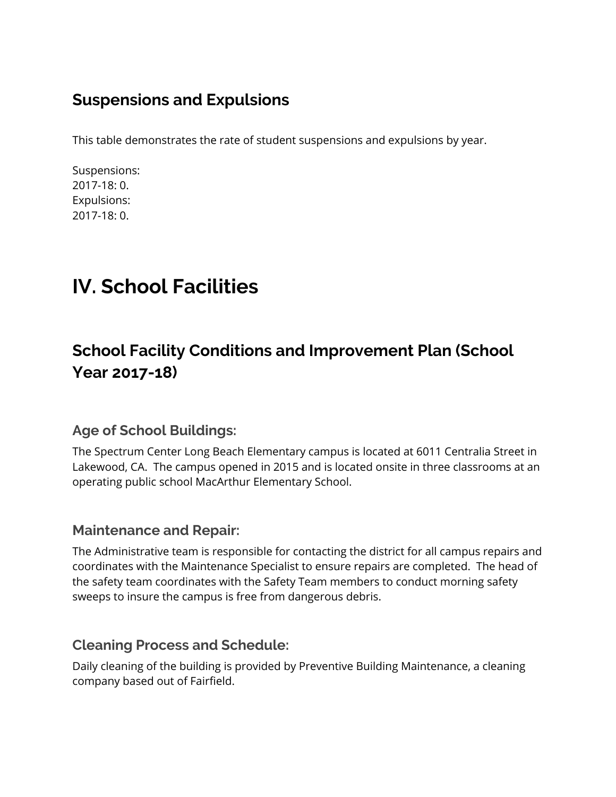#### **Suspensions and Expulsions**

This table demonstrates the rate of student suspensions and expulsions by year.

Suspensions: 2017-18: 0. Expulsions: 2017-18: 0.

# **IV. School Facilities**

### **School Facility Conditions and Improvement Plan (School Year 2017-18)**

#### **Age of School Buildings:**

 The Spectrum Center Long Beach Elementary campus is located at 6011 Centralia Street in Lakewood, CA. The campus opened in 2015 and is located onsite in three classrooms at an operating public school MacArthur Elementary School.

#### **Maintenance and Repair:**

 The Administrative team is responsible for contacting the district for all campus repairs and coordinates with the Maintenance Specialist to ensure repairs are completed. The head of the safety team coordinates with the Safety Team members to conduct morning safety sweeps to insure the campus is free from dangerous debris.

#### **Cleaning Process and Schedule:**

 Daily cleaning of the building is provided by Preventive Building Maintenance, a cleaning company based out of Fairfield.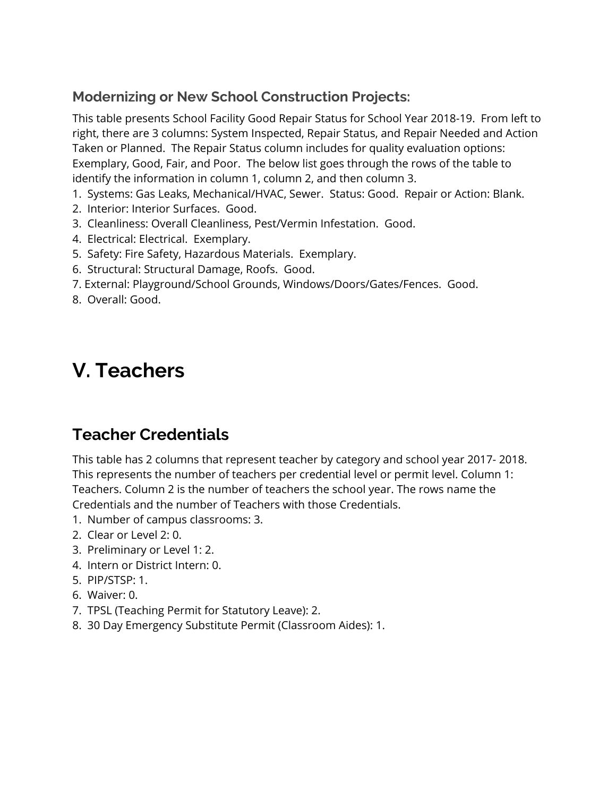#### **Modernizing or New School Construction Projects:**

 This table presents School Facility Good Repair Status for School Year 2018-19. From left to right, there are 3 columns: System Inspected, Repair Status, and Repair Needed and Action Taken or Planned. The Repair Status column includes for quality evaluation options: Exemplary, Good, Fair, and Poor. The below list goes through the rows of the table to identify the information in column 1, column 2, and then column 3.

- 1. Systems: Gas Leaks, Mechanical/HVAC, Sewer. Status: Good. Repair or Action: Blank.
- 2. Interior: Interior Surfaces. Good.
- 3. Cleanliness: Overall Cleanliness, Pest/Vermin Infestation. Good.
- 4. Electrical: Electrical. Exemplary.
- 5. Safety: Fire Safety, Hazardous Materials. Exemplary.
- 6. Structural: Structural Damage, Roofs. Good.
- 7. External: Playground/School Grounds, Windows/Doors/Gates/Fences. Good.
- 8. Overall: Good.

### **V. Teachers**

#### **Teacher Credentials**

 This table has 2 columns that represent teacher by category and school year 2017- 2018. This represents the number of teachers per credential level or permit level. Column 1: Teachers. Column 2 is the number of teachers the school year. The rows name the Credentials and the number of Teachers with those Credentials.

- 1. Number of campus classrooms: 3.
- 2. Clear or Level 2: 0.
- 3. Preliminary or Level 1: 2.
- 4. Intern or District Intern: 0.
- 5. PIP/STSP: 1.
- 6. Waiver: 0.
- 7. TPSL (Teaching Permit for Statutory Leave): 2.
- 8. 30 Day Emergency Substitute Permit (Classroom Aides): 1.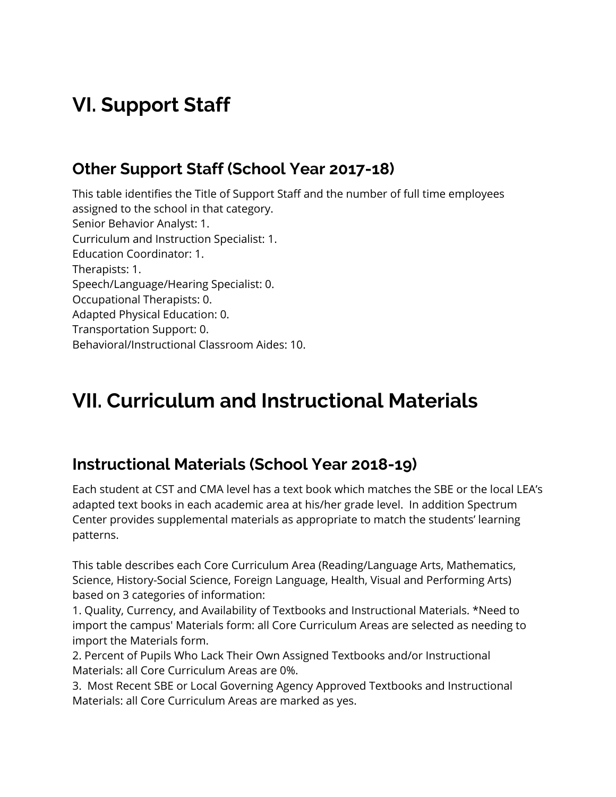# **VI. Support Staff**

#### **Other Support Staff (School Year 2017-18)**

 This table identifies the Title of Support Staff and the number of full time employees assigned to the school in that category. Senior Behavior Analyst: 1. Curriculum and Instruction Specialist: 1. Speech/Language/Hearing Specialist: 0. Adapted Physical Education: 0. Transportation Support: 0. Behavioral/Instructional Classroom Aides: 10. Education Coordinator: 1. Therapists: 1. Occupational Therapists: 0.

# **VII. Curriculum and Instructional Materials**

### **Instructional Materials (School Year 2018-19)**

 Each student at CST and CMA level has a text book which matches the SBE or the local LEA's adapted text books in each academic area at his/her grade level. In addition Spectrum Center provides supplemental materials as appropriate to match the students' learning patterns.

 This table describes each Core Curriculum Area (Reading/Language Arts, Mathematics, Science, History-Social Science, Foreign Language, Health, Visual and Performing Arts) based on 3 categories of information:

 1. Quality, Currency, and Availability of Textbooks and Instructional Materials. \*Need to import the campus' Materials form: all Core Curriculum Areas are selected as needing to import the Materials form.

 2. Percent of Pupils Who Lack Their Own Assigned Textbooks and/or Instructional Materials: all Core Curriculum Areas are 0%.

 3. Most Recent SBE or Local Governing Agency Approved Textbooks and Instructional Materials: all Core Curriculum Areas are marked as yes.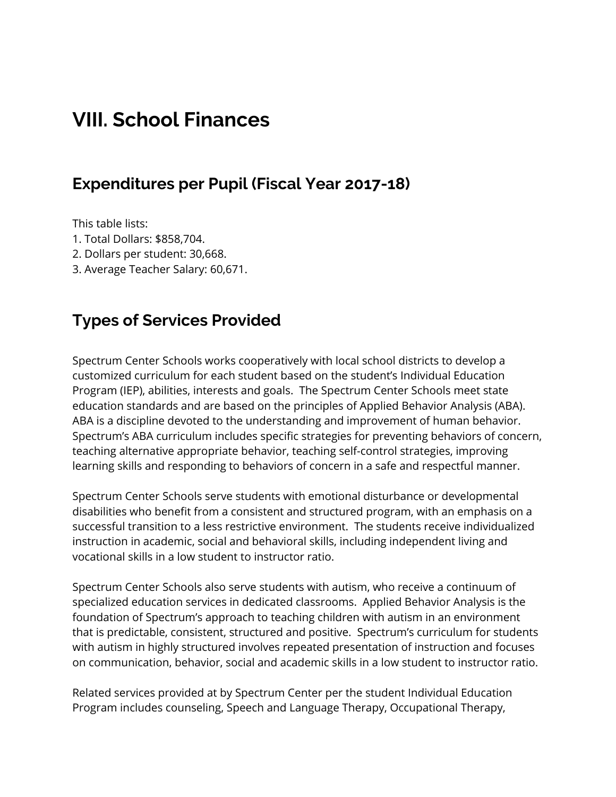### **VIII. School Finances**

#### **Expenditures per Pupil (Fiscal Year 2017-18)**

This table lists:

- 1. Total Dollars: \$858,704.
- 2. Dollars per student: 30,668.
- 3. Average Teacher Salary: 60,671.

#### **Types of Services Provided**

 Spectrum Center Schools works cooperatively with local school districts to develop a customized curriculum for each student based on the student's Individual Education Program (IEP), abilities, interests and goals. The Spectrum Center Schools meet state education standards and are based on the principles of Applied Behavior Analysis (ABA). ABA is a discipline devoted to the understanding and improvement of human behavior. Spectrum's ABA curriculum includes specific strategies for preventing behaviors of concern, teaching alternative appropriate behavior, teaching self-control strategies, improving learning skills and responding to behaviors of concern in a safe and respectful manner.

 Spectrum Center Schools serve students with emotional disturbance or developmental disabilities who benefit from a consistent and structured program, with an emphasis on a successful transition to a less restrictive environment. The students receive individualized instruction in academic, social and behavioral skills, including independent living and vocational skills in a low student to instructor ratio.

 Spectrum Center Schools also serve students with autism, who receive a continuum of specialized education services in dedicated classrooms. Applied Behavior Analysis is the foundation of Spectrum's approach to teaching children with autism in an environment that is predictable, consistent, structured and positive. Spectrum's curriculum for students with autism in highly structured involves repeated presentation of instruction and focuses on communication, behavior, social and academic skills in a low student to instructor ratio.

 Related services provided at by Spectrum Center per the student Individual Education Program includes counseling, Speech and Language Therapy, Occupational Therapy,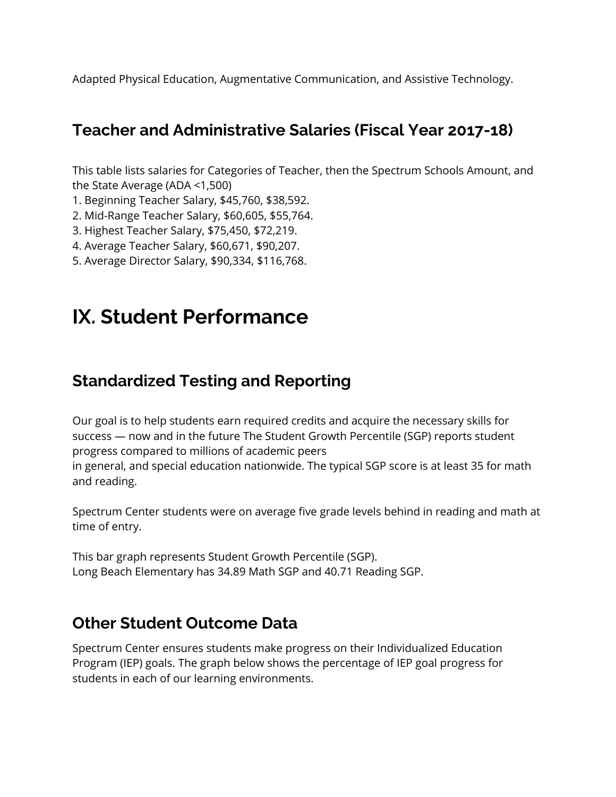Adapted Physical Education, Augmentative Communication, and Assistive Technology.

#### **Teacher and Administrative Salaries (Fiscal Year 2017-18)**

 This table lists salaries for Categories of Teacher, then the Spectrum Schools Amount, and the State Average (ADA <1,500)

- 1. Beginning Teacher Salary, \$45,760, \$38,592.
- 2. Mid-Range Teacher Salary, \$60,605, \$55,764.
- 3. Highest Teacher Salary, \$75,450, \$72,219.
- 4. Average Teacher Salary, \$60,671, \$90,207.
- 5. Average Director Salary, \$90,334, \$116,768.

### **IX. Student Performance**

#### **Standardized Testing and Reporting**

 Our goal is to help students earn required credits and acquire the necessary skills for success — now and in the future The Student Growth Percentile (SGP) reports student progress compared to millions of academic peers in general, and special education nationwide. The typical SGP score is at least 35 for math and reading.

Spectrum Center students were on average five grade levels behind in reading and math at

 This bar graph represents Student Growth Percentile (SGP). Long Beach Elementary has 34.89 Math SGP and 40.71 Reading SGP.

#### **Other Student Outcome Data**

time of entry.

 Spectrum Center ensures students make progress on their Individualized Education Program (IEP) goals. The graph below shows the percentage of IEP goal progress for students in each of our learning environments.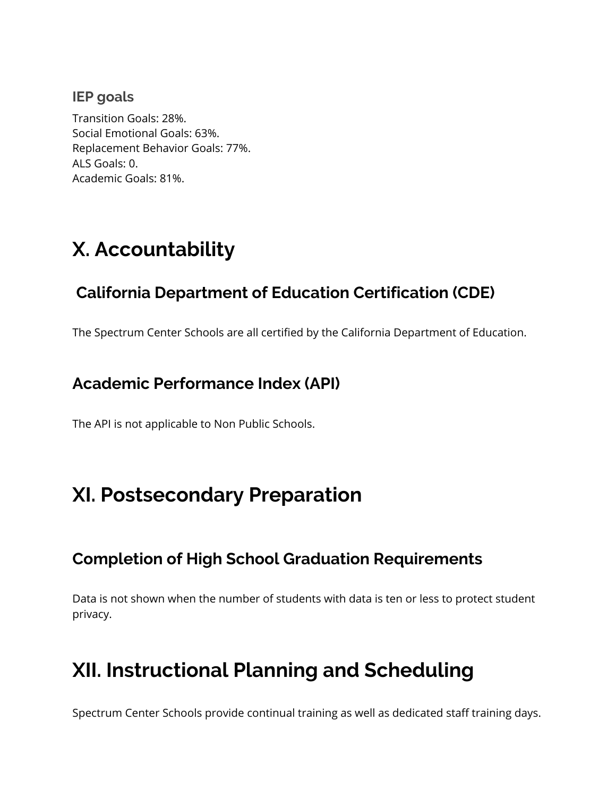#### **IEP goals**

 Transition Goals: 28%. Social Emotional Goals: 63%. Replacement Behavior Goals: 77%. ALS Goals: 0. Academic Goals: 81%.

# **X. Accountability**

### **California Department of Education Certification (CDE)**

The Spectrum Center Schools are all certified by the California Department of Education.

#### **Academic Performance Index (API)**

The API is not applicable to Non Public Schools.

### **XI. Postsecondary Preparation**

#### **Completion of High School Graduation Requirements**

 Data is not shown when the number of students with data is ten or less to protect student privacy.

### **XII. Instructional Planning and Scheduling**

Spectrum Center Schools provide continual training as well as dedicated staff training days.